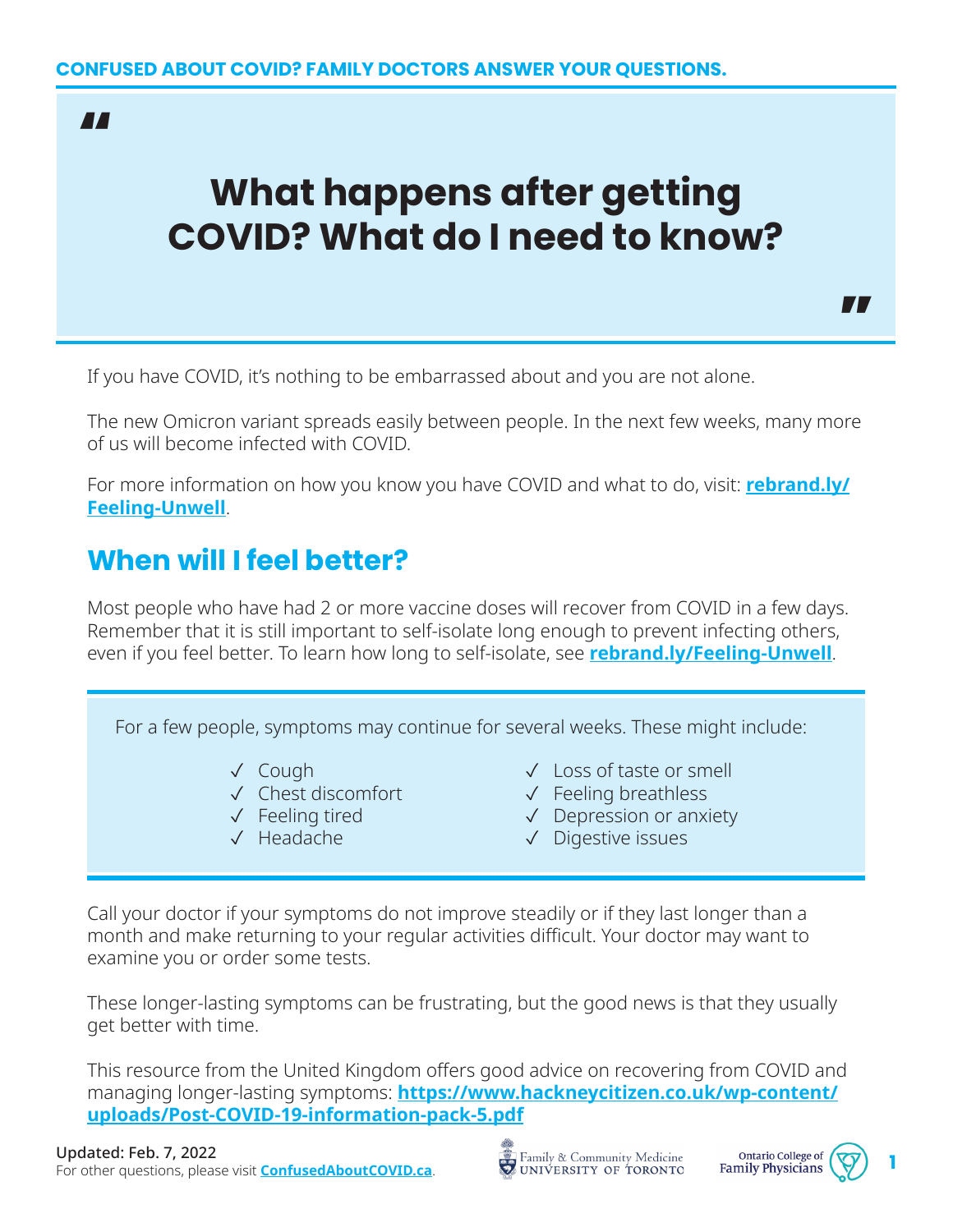"

# **What happens after getting COVID? What do I need to know?**

If you have COVID, it's nothing to be embarrassed about and you are not alone.

The new Omicron variant spreads easily between people. In the next few weeks, many more of us will become infected with COVID.

For more information on how you know you have COVID and what to do, visit: **[rebrand.ly/](http://rebrand.ly/Feeling-Unwell) [Feeling-Unwell](http://rebrand.ly/Feeling-Unwell)**.

### **When will I feel better?**

Most people who have had 2 or more vaccine doses will recover from COVID in a few days. Remember that it is still important to self-isolate long enough to prevent infecting others, even if you feel better. To learn how long to self-isolate, see **[rebrand.ly/Feeling-Unwell](http://rebrand.ly/Feeling-Unwell)**.

For a few people, symptoms may continue for several weeks. These might include:

- ✓ Cough
- ✓ Chest discomfort
- ✓ Feeling tired
- ✓ Headache
- ✓ Loss of taste or smell
- ✓ Feeling breathless
- ✓ Depression or anxiety
- ✓ Digestive issues

Call your doctor if your symptoms do not improve steadily or if they last longer than a month and make returning to your regular activities difficult. Your doctor may want to examine you or order some tests.

These longer-lasting symptoms can be frustrating, but the good news is that they usually get better with time.

This resource from the United Kingdom offers good advice on recovering from COVID and managing longer-lasting symptoms: **[https://www.hackneycitizen.co.uk/wp-content/](https://www.hackneycitizen.co.uk/wp-content/uploads/Post-COVID-19-information-pack-5.pdf) [uploads/Post-COVID-19-information-pack-5.pdf](https://www.hackneycitizen.co.uk/wp-content/uploads/Post-COVID-19-information-pack-5.pdf)**

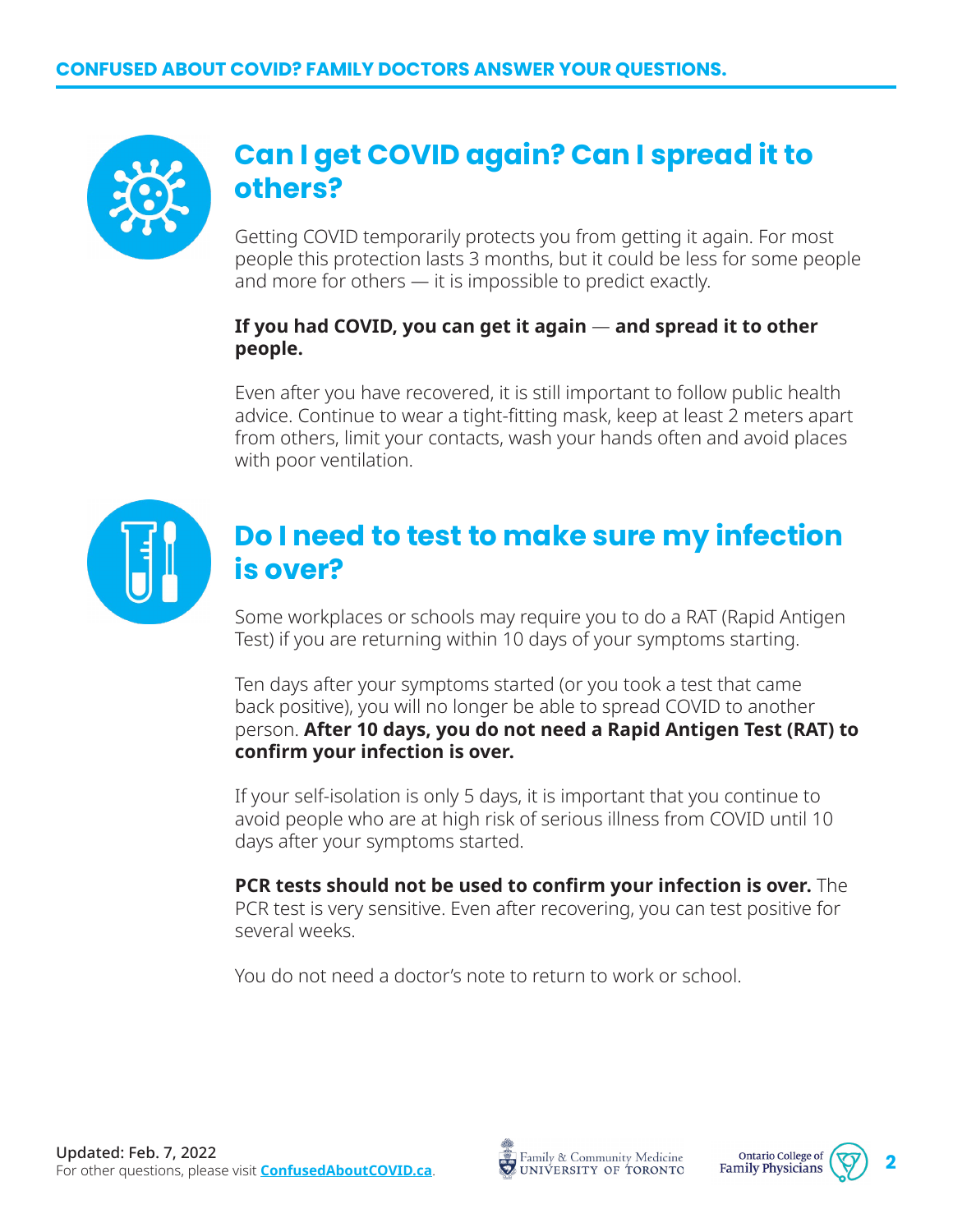

### **Can I get COVID again? Can I spread it to others?**

Getting COVID temporarily protects you from getting it again. For most people this protection lasts 3 months, but it could be less for some people and more for others — it is impossible to predict exactly.

#### **If you had COVID, you can get it again** — **and spread it to other people.**

Even after you have recovered, it is still important to follow public health advice. Continue to wear a tight-fitting mask, keep at least 2 meters apart from others, limit your contacts, wash your hands often and avoid places with poor ventilation.



### **Do I need to test to make sure my infection is over?**

Some workplaces or schools may require you to do a RAT (Rapid Antigen Test) if you are returning within 10 days of your symptoms starting.

Ten days after your symptoms started (or you took a test that came back positive), you will no longer be able to spread COVID to another person. **After 10 days, you do not need a Rapid Antigen Test (RAT) to confirm your infection is over.**

If your self-isolation is only 5 days, it is important that you continue to avoid people who are at high risk of serious illness from COVID until 10 days after your symptoms started.

**PCR tests should not be used to confirm your infection is over.** The PCR test is very sensitive. Even after recovering, you can test positive for several weeks.

You do not need a doctor's note to return to work or school.